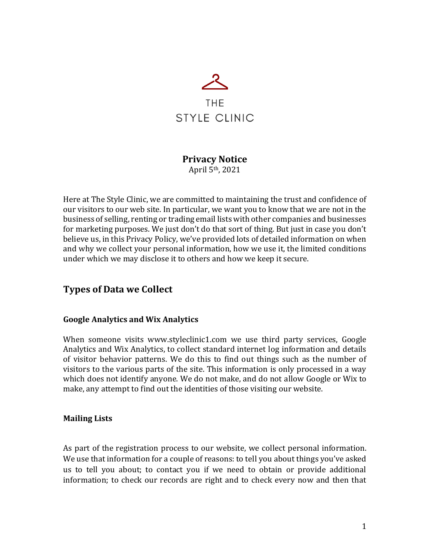

# **Privacy Notice**

April 5th, 2021

Here at The Style Clinic, we are committed to maintaining the trust and confidence of our visitors to our web site. In particular, we want you to know that we are not in the business of selling, renting or trading email lists with other companies and businesses for marketing purposes. We just don't do that sort of thing. But just in case you don't believe us, in this Privacy Policy, we've provided lots of detailed information on when and why we collect your personal information, how we use it, the limited conditions under which we may disclose it to others and how we keep it secure.

### **Types of Data we Collect**

#### **Google Analytics and Wix Analytics**

When someone visits www.styleclinic1.com we use third party services, Google Analytics and Wix Analytics, to collect standard internet log information and details of visitor behavior patterns. We do this to find out things such as the number of visitors to the various parts of the site. This information is only processed in a way which does not identify anyone. We do not make, and do not allow Google or Wix to make, any attempt to find out the identities of those visiting our website.

#### **Mailing Lists**

As part of the registration process to our website, we collect personal information. We use that information for a couple of reasons: to tell you about things you've asked us to tell you about; to contact you if we need to obtain or provide additional information; to check our records are right and to check every now and then that